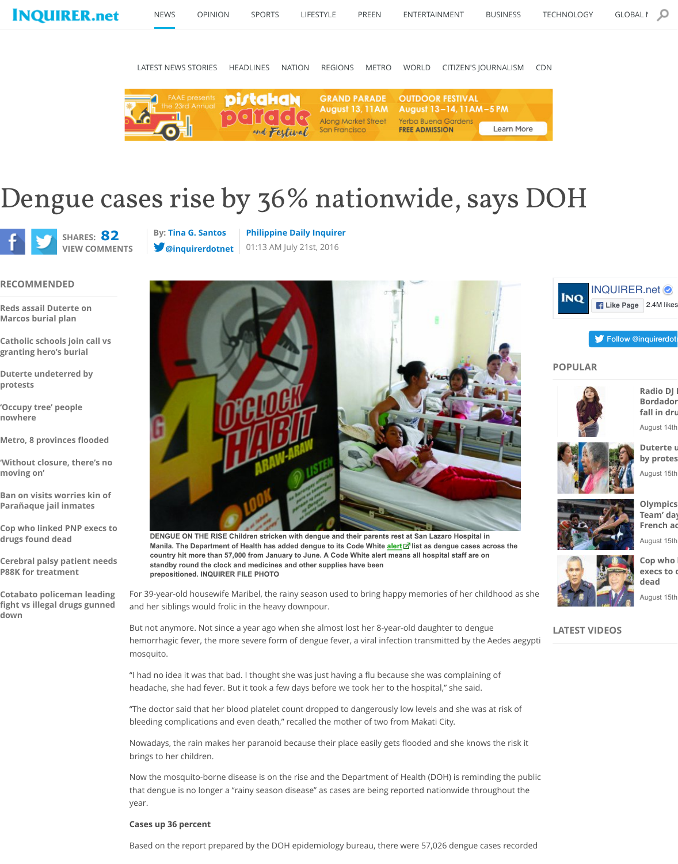**'Occupy tree' people nowhere**

**Metro, 8 provinces flooded**

**'Without closure, there's no moving on'**

**Ban on visits worries kin of Parañaque jail inmates**

**Cop who linked PNP execs to drugs found dead**

**Cerebral palsy patient needs P88K for treatment**

**Cotabato policeman leading fight vs illegal drugs gunned down**



**DENGUE ON THE RISE Children stricken with dengue and their Manila. The Department of Health has added dengue to its Code By algebra** country hit more than 57,000 from January to June. A Code Wh standby round the clock and medicines and other supplies have **prepositioned. INQUIRER FILE PHOTO**

For 39-year-old housewife Maribel, the rainy season used to and her siblings would frolic in the heavy downpour.

But not a[nymore. Not sinc](http://newsinfo.inquirer.net/byline/tina-g-santos)e a [year ago when she almost l](http://newsinfo.inquirer.net/source/philippine-daily-inquirer)ost [h](http://newsinfo.inquirer.net/797679/dengue-cases-rise-by-36-nationwide-says-doh#art_disc)emorrh[agic fever, the mor](http://www.twitter.com/inquirerdotnet)e severe form of dengue fever, a mosquito.

"I had no idea it was that bad. I thought she was just having a headache, she had fever. But it took a few days before we to

"The doctor said that her blood platelet count dropped to da bleeding complications and even death," recalled the mother

Nowadays, the rain makes her paranoid because their place brings to her children.

Now the mosquito-borne disease is on the rise and the Depa that dengue is no longer a "rainy season disease" as cases are year.

### **Cases up 36 percent**

Based on the report prepared by the DOH epidemiology bur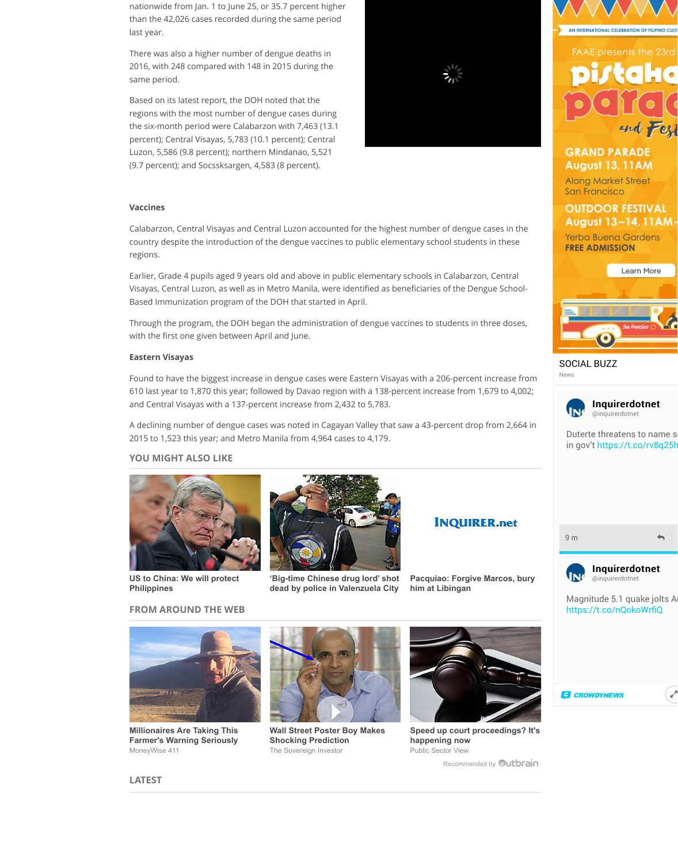and Central Visayas with a 137-percent increase from 2,432 t

A declining number of dengue cases was noted in Cagayan V 2015 to 1,523 this year; and Metro Manila from 4,964 cases t

### **YOU MIGHT ALSO LIKE**



**US to China: We will protect Philippines**



**'Big-time Chinese drug** dead by police in Valen

## **FROM AROUND THE WEB**



**Millionaires Are Taking This Farmer's Warning Seriously** MoneyWise 411



**Wall Street Poster Boy Shocking Prediction** The Sovereign Investor

**LATEST**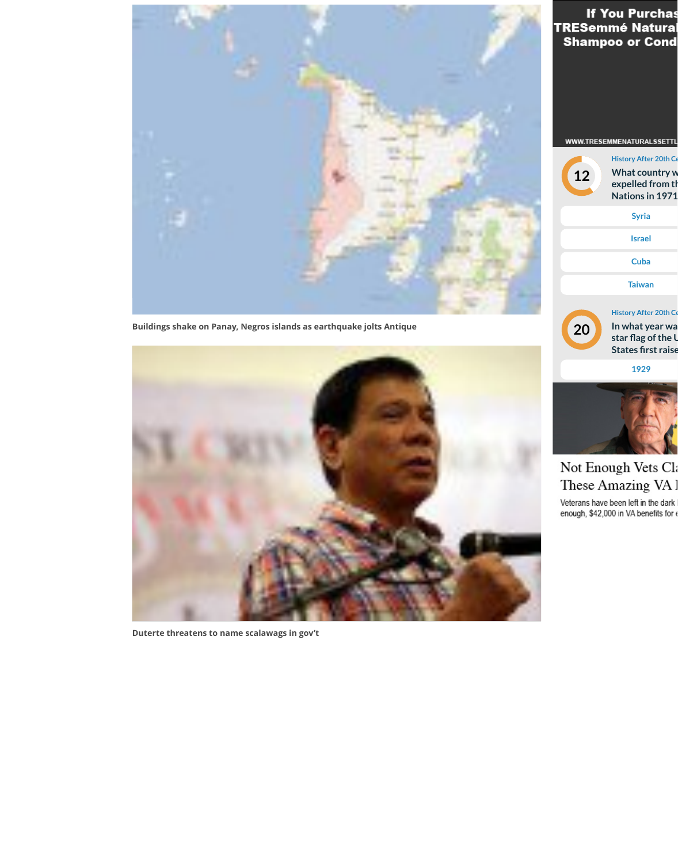

**[Duterte threatens to name scalawags in gov't](http://newsinfo.inquirer.net/806437/buildings-shake-on-panay-negros-islands-as-earthquake-jolts-antique)**